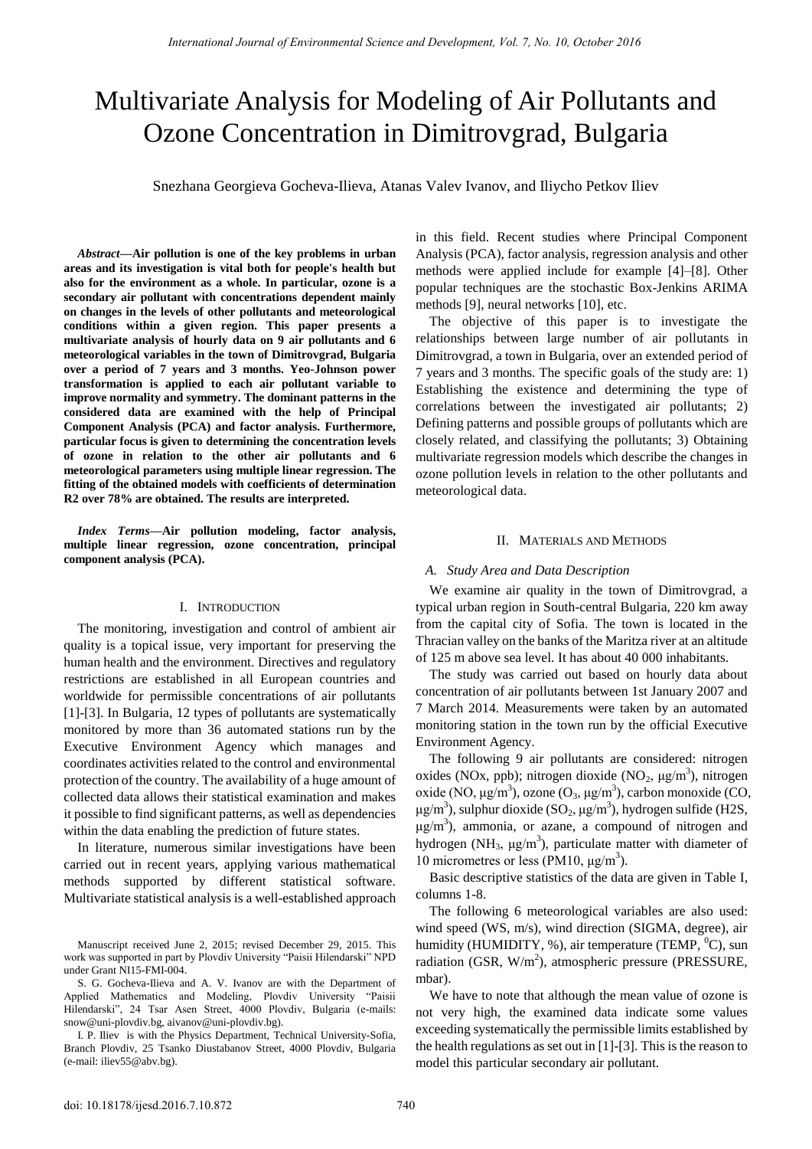# Multivariate Analysis for Modeling of Air Pollutants and Ozone Concentration in Dimitrovgrad, Bulgaria

Snezhana Georgieva Gocheva-Ilieva, Atanas Valev Ivanov, and Iliycho Petkov Iliev

*Abstract***—Air pollution is one of the key problems in urban areas and its investigation is vital both for people's health but also for the environment as a whole. In particular, ozone is a secondary air pollutant with concentrations dependent mainly on changes in the levels of other pollutants and meteorological conditions within a given region. This paper presents a multivariate analysis of hourly data on 9 air pollutants and 6 meteorological variables in the town of Dimitrovgrad, Bulgaria over a period of 7 years and 3 months. Yeo-Johnson power transformation is applied to each air pollutant variable to improve normality and symmetry. The dominant patterns in the considered data are examined with the help of Principal Component Analysis (PCA) and factor analysis. Furthermore, particular focus is given to determining the concentration levels of ozone in relation to the other air pollutants and 6 meteorological parameters using multiple linear regression. The fitting of the obtained models with coefficients of determination R2 over 78% are obtained. The results are interpreted.** 

*Index Terms***—Air pollution modeling, factor analysis, multiple linear regression, ozone concentration, principal component analysis (PCA).** 

## I. INTRODUCTION

The monitoring, investigation and control of ambient air quality is a topical issue, very important for preserving the human health and the environment. Directives and regulatory restrictions are established in all European countries and worldwide for permissible concentrations of air pollutants [1]-[3]. In Bulgaria, 12 types of pollutants are systematically monitored by more than 36 automated stations run by the Executive Environment Agency which manages and coordinates activities related to the control and environmental protection of the country. The availability of a huge amount of collected data allows their statistical examination and makes it possible to find significant patterns, as well as dependencies within the data enabling the prediction of future states.

In literature, numerous similar investigations have been carried out in recent years, applying various mathematical methods supported by different statistical software. Multivariate statistical analysis is a well-established approach

Manuscript received June 2, 2015; revised December 29, 2015. This work was supported in part by Plovdiv University "Paisii Hilendarski" NPD under Grant NI15-FMI-004.

S. G. Gocheva-Ilieva and A. V. Ivanov are with the Department of Applied Mathematics and Modeling, Plovdiv University "Paisii Hilendarski", 24 Tsar Asen Street, 4000 Plovdiv, Bulgaria (e-mails: snow@uni-plovdiv.bg, aivanov@uni-plovdiv.bg).

I. P. Iliev is with the Physics Department, Technical University-Sofia, Branch Plovdiv, 25 Tsanko Diustabanov Street, 4000 Plovdiv, Bulgaria (e-mail: iliev55@abv.bg).

in this field. Recent studies where Principal Component Analysis (PCA), factor analysis, regression analysis and other methods were applied include for example [4]–[8]. Other popular techniques are the stochastic Box-Jenkins ARIMA methods [9], neural networks [10], etc.

The objective of this paper is to investigate the relationships between large number of air pollutants in Dimitrovgrad, a town in Bulgaria, over an extended period of 7 years and 3 months. The specific goals of the study are: 1) Establishing the existence and determining the type of correlations between the investigated air pollutants; 2) Defining patterns and possible groups of pollutants which are closely related, and classifying the pollutants; 3) Obtaining multivariate regression models which describe the changes in ozone pollution levels in relation to the other pollutants and meteorological data.

#### II. MATERIALS AND METHODS

#### *A. Study Area and Data Description*

We examine air quality in the town of Dimitrovgrad, a typical urban region in South-central Bulgaria, 220 km away from the capital city of Sofia. The town is located in the Thracian valley on the banks of the Maritza river at an altitude of 125 m above sea level. It has about 40 000 inhabitants.

The study was carried out based on hourly data about concentration of air pollutants between 1st January 2007 and 7 March 2014. Measurements were taken by an automated monitoring station in the town run by the official Executive Environment Agency.

The following 9 air pollutants are considered: nitrogen oxides (NOx, ppb); nitrogen dioxide (NO<sub>2</sub>,  $\mu$ g/m<sup>3</sup>), nitrogen oxide (NO, μg/m<sup>3</sup>), ozone (O<sub>3</sub>, μg/m<sup>3</sup>), carbon monoxide (CO, μg/m<sup>3</sup>), sulphur dioxide (SO<sub>2</sub>, μg/m<sup>3</sup>), hydrogen sulfide (H2S,  $\mu$ g/m<sup>3</sup>), ammonia, or azane, a compound of nitrogen and hydrogen (NH<sub>3</sub>,  $\mu$ g/m<sup>3</sup>), particulate matter with diameter of 10 micrometres or less (PM10, μg/m<sup>3</sup>).

Basic descriptive statistics of the data are given in Table I, columns 1-8.

The following 6 meteorological variables are also used: wind speed (WS, m/s), wind direction (SIGMA, degree), air humidity (HUMIDITY,  $\%$ ), air temperature (TEMP,  $\mathrm{^0C}$ ), sun radiation (GSR,  $W/m<sup>2</sup>$ ), atmospheric pressure (PRESSURE, mbar).

We have to note that although the mean value of ozone is not very high, the examined data indicate some values exceeding systematically the permissible limits established by the health regulations as set out in [1]-[3]. This is the reason to model this particular secondary air pollutant.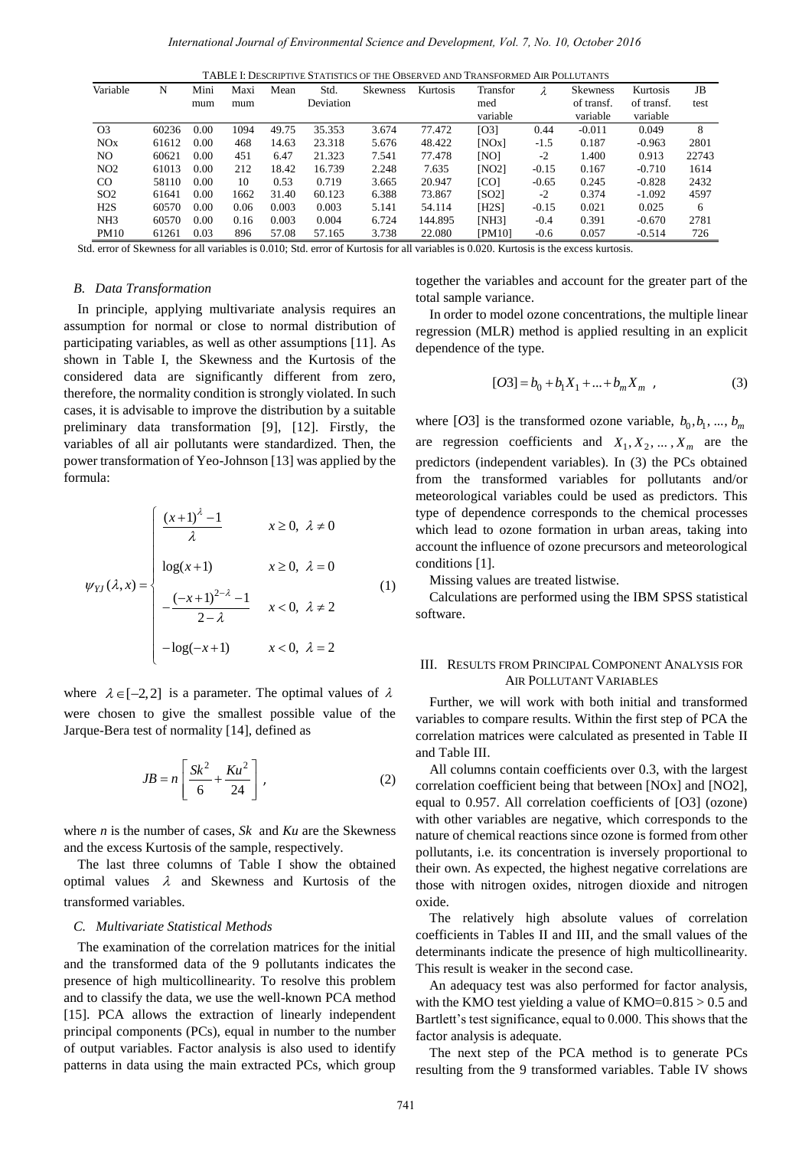| Variable        | N     | Mini | Maxi | Mean  | Std.      | <b>Skewness</b> | Kurtosis | Transfor     |         | <b>Skewness</b> | Kurtosis   | JB    |
|-----------------|-------|------|------|-------|-----------|-----------------|----------|--------------|---------|-----------------|------------|-------|
|                 |       | mum  | mum  |       | Deviation |                 |          | med          |         | of transf.      | of transf. | test  |
|                 |       |      |      |       |           |                 |          | variable     |         | variable        | variable   |       |
| O <sub>3</sub>  | 60236 | 0.00 | 1094 | 49.75 | 35.353    | 3.674           | 77.472   | [O3]         | 0.44    | $-0.011$        | 0.049      | 8     |
| NOx             | 61612 | 0.00 | 468  | 14.63 | 23.318    | 5.676           | 48.422   | [NOx]        | $-1.5$  | 0.187           | $-0.963$   | 2801  |
| NO.             | 60621 | 0.00 | 451  | 6.47  | 21.323    | 7.541           | 77.478   | [NO]         | $-2$    | 1.400           | 0.913      | 22743 |
| NO2             | 61013 | 0.00 | 212  | 18.42 | 16.739    | 2.248           | 7.635    | [NO2]        | $-0.15$ | 0.167           | $-0.710$   | 1614  |
| $_{\rm CO}$     | 58110 | 0.00 | 10   | 0.53  | 0.719     | 3.665           | 20.947   | [CO]         | $-0.65$ | 0.245           | $-0.828$   | 2432  |
| SO <sub>2</sub> | 61641 | 0.00 | 1662 | 31.40 | 60.123    | 6.388           | 73.867   | <b>ISO21</b> | $-2$    | 0.374           | $-1.092$   | 4597  |
| H2S             | 60570 | 0.00 | 0.06 | 0.003 | 0.003     | 5.141           | 54.114   | [H2S]        | $-0.15$ | 0.021           | 0.025      | 6     |
| NH <sub>3</sub> | 60570 | 0.00 | 0.16 | 0.003 | 0.004     | 6.724           | 144.895  | [NH3]        | $-0.4$  | 0.391           | $-0.670$   | 2781  |
| <b>PM10</b>     | 61261 | 0.03 | 896  | 57.08 | 57.165    | 3.738           | 22.080   | [PM10]       | $-0.6$  | 0.057           | $-0.514$   | 726   |

TABLE I: DESCRIPTIVE STATISTICS OF THE OBSERVED AND TRANSFORMED AIR POLLUTANTS

Std. error of Skewness for all variables is 0.010; Std. error of Kurtosis for all variables is 0.020. Kurtosis is the excess kurtosis.

## *B. Data Transformation*

In principle, applying multivariate analysis requires an assumption for normal or close to normal distribution of participating variables, as well as other assumptions [11]. As shown in Table I, the Skewness and the Kurtosis of the considered data are significantly different from zero, therefore, the normality condition is strongly violated. In such cases, it is advisable to improve the distribution by a suitable preliminary data transformation [9], [12]. Firstly, the variables of all air pollutants were standardized. Then, the power transformation of Yeo-Johnson [13] was applied by the formula:

$$
\psi_{YJ}(\lambda, x) = \begin{cases}\n\frac{(x+1)^{\lambda} - 1}{\lambda} & x \ge 0, \ \lambda \ne 0 \\
\log(x+1) & x \ge 0, \ \lambda = 0 \\
-\frac{(-x+1)^{2-\lambda} - 1}{2-\lambda} & x < 0, \ \lambda \ne 2 \\
-\log(-x+1) & x < 0, \ \lambda = 2\n\end{cases}
$$
\n(1)

where  $\lambda \in [-2,2]$  is a parameter. The optimal values of  $\lambda$ were chosen to give the smallest possible value of the Jarque-Bera test of normality [14], defined as

$$
JB = n\left[\frac{Sk^2}{6} + \frac{Ku^2}{24}\right],
$$
 (2)

where *n* is the number of cases, *Sk* and *Ku* are the Skewness and the excess Kurtosis of the sample, respectively.

The last three columns of Table I show the obtained optimal values  $\lambda$  and Skewness and Kurtosis of the transformed variables.

#### *C. Multivariate Statistical Methods*

The examination of the correlation matrices for the initial and the transformed data of the 9 pollutants indicates the presence of high multicollinearity. To resolve this problem and to classify the data, we use the well-known PCA method [15]. PCA allows the extraction of linearly independent principal components (PCs), equal in number to the number of output variables. Factor analysis is also used to identify patterns in data using the main extracted PCs, which group

together the variables and account for the greater part of the total sample variance.

In order to model ozone concentrations, the multiple linear regression (MLR) method is applied resulting in an explicit dependence of the type.

$$
[O3] = b_0 + b_1 X_1 + \dots + b_m X_m \t{3}
$$

where [O3] is the transformed ozone variable,  $b_0, b_1, ..., b_m$ are regression coefficients and  $X_1, X_2, \ldots, X_m$  are the predictors (independent variables). In (3) the PCs obtained from the transformed variables for pollutants and/or meteorological variables could be used as predictors. This type of dependence corresponds to the chemical processes which lead to ozone formation in urban areas, taking into account the influence of ozone precursors and meteorological conditions [1].

Missing values are treated listwise.

Calculations are performed using the IBM SPSS statistical software.

## III. RESULTS FROM PRINCIPAL COMPONENT ANALYSIS FOR AIR POLLUTANT VARIABLES

Further, we will work with both initial and transformed variables to compare results. Within the first step of PCA the correlation matrices were calculated as presented in Table II and Table III.

All columns contain coefficients over 0.3, with the largest correlation coefficient being that between [NOx] and [NO2], equal to 0.957. All correlation coefficients of [O3] (ozone) with other variables are negative, which corresponds to the nature of chemical reactions since ozone is formed from other pollutants, i.e. its concentration is inversely proportional to their own. As expected, the highest negative correlations are those with nitrogen oxides, nitrogen dioxide and nitrogen oxide.

The relatively high absolute values of correlation coefficients in Tables II and III, and the small values of the determinants indicate the presence of high multicollinearity. This result is weaker in the second case.

An adequacy test was also performed for factor analysis, with the KMO test yielding a value of  $KMO=0.815 > 0.5$  and Bartlett's test significance, equal to 0.000. This shows that the factor analysis is adequate.

The next step of the PCA method is to generate PCs resulting from the 9 transformed variables. Table IV shows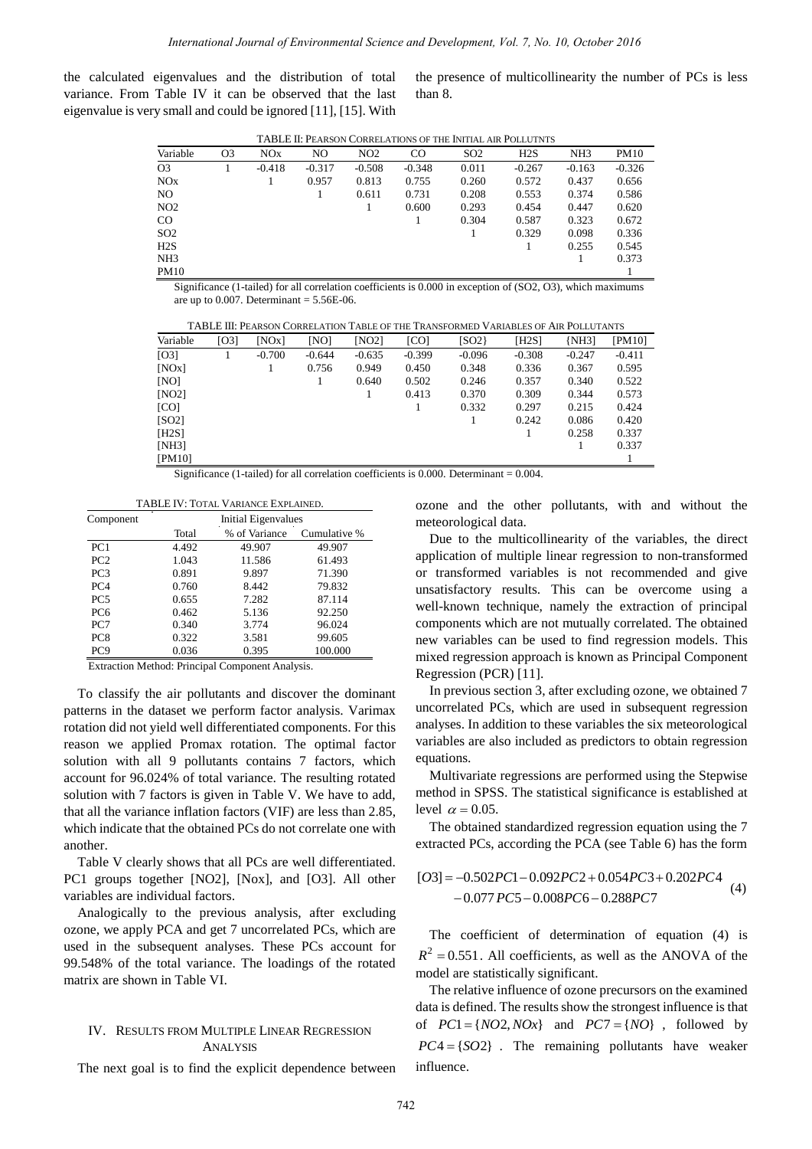the calculated eigenvalues and the distribution of total variance. From Table IV it can be observed that the last eigenvalue is very small and could be ignored [11], [15]. With

the presence of multicollinearity the number of PCs is less than 8.

| TABLE II: PEARSON CORRELATIONS OF THE INITIAL AIR POLLUTNTS |  |
|-------------------------------------------------------------|--|
|-------------------------------------------------------------|--|

| Variable        | O <sub>3</sub> | NOx      | NO       | NO <sub>2</sub> | CO.      | SO <sub>2</sub> | H2S      | NH <sub>3</sub> | <b>PM10</b> |
|-----------------|----------------|----------|----------|-----------------|----------|-----------------|----------|-----------------|-------------|
| O <sub>3</sub>  |                | $-0.418$ | $-0.317$ | $-0.508$        | $-0.348$ | 0.011           | $-0.267$ | $-0.163$        | $-0.326$    |
| NOx             |                |          | 0.957    | 0.813           | 0.755    | 0.260           | 0.572    | 0.437           | 0.656       |
| NO.             |                |          |          | 0.611           | 0.731    | 0.208           | 0.553    | 0.374           | 0.586       |
| NO <sub>2</sub> |                |          |          |                 | 0.600    | 0.293           | 0.454    | 0.447           | 0.620       |
| $\rm{CO}$       |                |          |          |                 |          | 0.304           | 0.587    | 0.323           | 0.672       |
| SO <sub>2</sub> |                |          |          |                 |          |                 | 0.329    | 0.098           | 0.336       |
| H2S             |                |          |          |                 |          |                 |          | 0.255           | 0.545       |
| NH <sub>3</sub> |                |          |          |                 |          |                 |          |                 | 0.373       |
| <b>PM10</b>     |                |          |          |                 |          |                 |          |                 |             |

Significance (1-tailed) for all correlation coefficients is 0.000 in exception of (SO2, O3), which maximums are up to  $0.007$ . Determinant =  $5.56E-06$ .

|          | TABLE III: PEARSON CORRELATION TABLE OF THE TRANSFORMED VARIABLES OF AIR POLLUTANTS |          |          |          |          |          |          |          |          |  |  |
|----------|-------------------------------------------------------------------------------------|----------|----------|----------|----------|----------|----------|----------|----------|--|--|
| Variable | [O3]                                                                                | [NOx]    | [NO]     | [NO2]    | [CO]     | [SO2}    | [H2S]    | ${NH31}$ | [PM10]   |  |  |
| [O3]     |                                                                                     | $-0.700$ | $-0.644$ | $-0.635$ | $-0.399$ | $-0.096$ | $-0.308$ | $-0.247$ | $-0.411$ |  |  |
| [NOx]    |                                                                                     |          | 0.756    | 0.949    | 0.450    | 0.348    | 0.336    | 0.367    | 0.595    |  |  |
| [NO]     |                                                                                     |          |          | 0.640    | 0.502    | 0.246    | 0.357    | 0.340    | 0.522    |  |  |
| [NO2]    |                                                                                     |          |          |          | 0.413    | 0.370    | 0.309    | 0.344    | 0.573    |  |  |
| [CO]     |                                                                                     |          |          |          |          | 0.332    | 0.297    | 0.215    | 0.424    |  |  |
| [SO2]    |                                                                                     |          |          |          |          |          | 0.242    | 0.086    | 0.420    |  |  |
| [H2S]    |                                                                                     |          |          |          |          |          |          | 0.258    | 0.337    |  |  |
| [NH3]    |                                                                                     |          |          |          |          |          |          |          | 0.337    |  |  |
| [PM10]   |                                                                                     |          |          |          |          |          |          |          |          |  |  |

Significance (1-tailed) for all correlation coefficients is  $0.000$ . Determinant =  $0.004$ .

|  | TABLE IV: TOTAL VARIANCE EXPLAINED. |
|--|-------------------------------------|
|--|-------------------------------------|

| Component       | Initial Eigenvalues |               |              |  |  |  |  |  |
|-----------------|---------------------|---------------|--------------|--|--|--|--|--|
|                 | Total               | % of Variance | Cumulative % |  |  |  |  |  |
| PC <sub>1</sub> | 4.492               | 49.907        | 49.907       |  |  |  |  |  |
| PC2             | 1.043               | 11.586        | 61.493       |  |  |  |  |  |
| PC <sub>3</sub> | 0.891               | 9.897         | 71.390       |  |  |  |  |  |
| PC <sub>4</sub> | 0.760               | 8.442         | 79.832       |  |  |  |  |  |
| PC <sub>5</sub> | 0.655               | 7.282         | 87.114       |  |  |  |  |  |
| PC <sub>6</sub> | 0.462               | 5.136         | 92.250       |  |  |  |  |  |
| PC7             | 0.340               | 3.774         | 96.024       |  |  |  |  |  |
| PC <sub>8</sub> | 0.322               | 3.581         | 99.605       |  |  |  |  |  |
| PC <sub>9</sub> | 0.036               | 0.395         | 100.000      |  |  |  |  |  |

Extraction Method: Principal Component Analysis.

To classify the air pollutants and discover the dominant patterns in the dataset we perform factor analysis. Varimax rotation did not yield well differentiated components. For this reason we applied Promax rotation. The optimal factor solution with all 9 pollutants contains 7 factors, which account for 96.024% of total variance. The resulting rotated solution with 7 factors is given in Table V. We have to add, that all the variance inflation factors (VIF) are less than 2.85, which indicate that the obtained PCs do not correlate one with another.

Table V clearly shows that all PCs are well differentiated. PC1 groups together [NO2], [Nox], and [O3]. All other variables are individual factors.

Analogically to the previous analysis, after excluding ozone, we apply PCA and get 7 uncorrelated PCs, which are used in the subsequent analyses. These PCs account for 99.548% of the total variance. The loadings of the rotated matrix are shown in Table VI.

## IV. RESULTS FROM MULTIPLE LINEAR REGRESSION ANALYSIS

The next goal is to find the explicit dependence between

ozone and the other pollutants, with and without the meteorological data.

Due to the multicollinearity of the variables, the direct application of multiple linear regression to non-transformed or transformed variables is not recommended and give unsatisfactory results. This can be overcome using a well-known technique, namely the extraction of principal components which are not mutually correlated. The obtained new variables can be used to find regression models. This mixed regression approach is known as Principal Component Regression (PCR) [11].

In previous section 3, after excluding ozone, we obtained 7 uncorrelated PCs, which are used in subsequent regression analyses. In addition to these variables the six meteorological variables are also included as predictors to obtain regression equations.

Multivariate regressions are performed using the Stepwise method in SPSS. The statistical significance is established at level  $\alpha = 0.05$ .

The obtained standardized regression equation using the 7

extracted PCs, according the PCA (see Table 6) has the form  
\n
$$
[O3] = -0.502PC1 - 0.092PC2 + 0.054PC3 + 0.202PC4
$$
  
\n $-0.077 PC5 - 0.008PC6 - 0.288PC7$  (4)

The coefficient of determination of equation (4) is  $R^2 = 0.551$ . All coefficients, as well as the ANOVA of the model are statistically significant.

The relative influence of ozone precursors on the examined data is defined. The results show the strongest influence is that of  $PC1 = \{NO2, NOx\}$  and  $PC7 = \{NO\}$ , followed by  $PC4 = \{SO2\}$ . The remaining pollutants have weaker influence.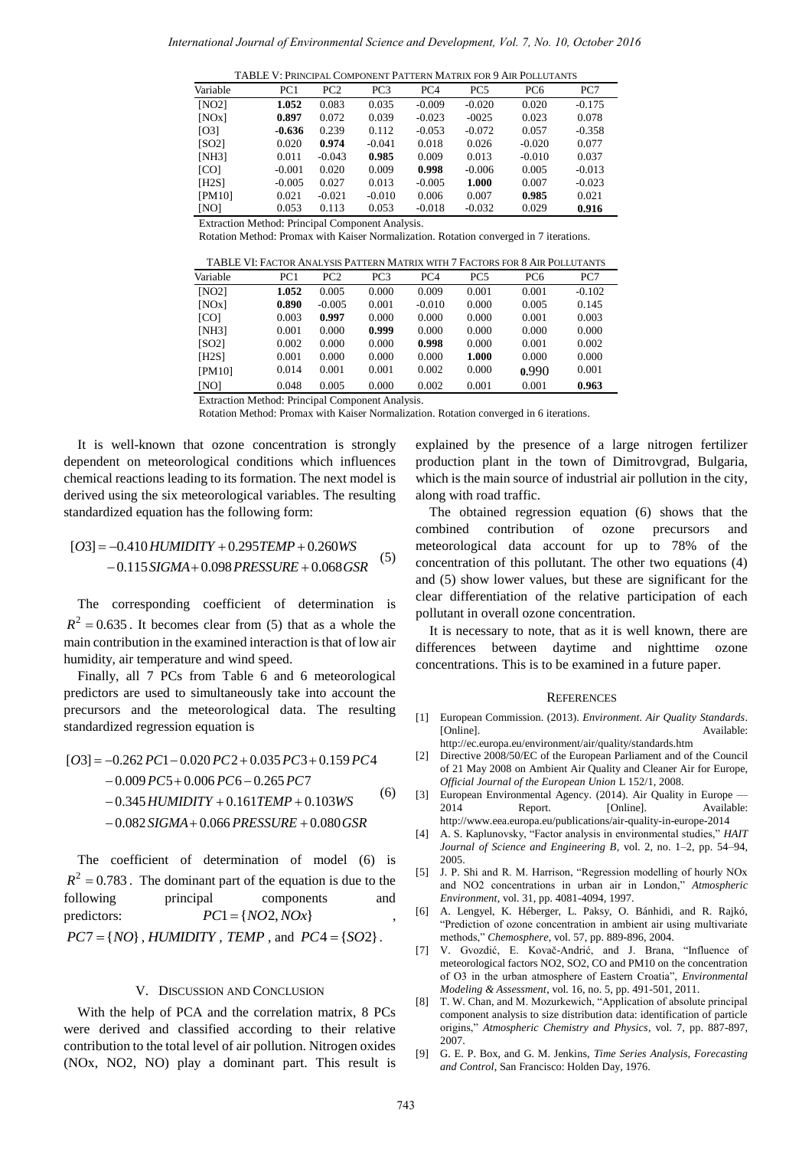TABLE V: PRINCIPAL COMPONENT PATTERN MATRIX FOR 9 AIR POLLUTANTS

| Variable | PC1      | PC <sub>2</sub> | PC <sub>3</sub> | PC <sub>4</sub> | PC <sub>5</sub> | PC <sub>6</sub> | PC7      |
|----------|----------|-----------------|-----------------|-----------------|-----------------|-----------------|----------|
| [NO2]    | 1.052    | 0.083           | 0.035           | $-0.009$        | $-0.020$        | 0.020           | $-0.175$ |
| [NOx]    | 0.897    | 0.072           | 0.039           | $-0.023$        | $-0025$         | 0.023           | 0.078    |
| [O3]     | $-0.636$ | 0.239           | 0.112           | $-0.053$        | $-0.072$        | 0.057           | $-0.358$ |
| [SO2]    | 0.020    | 0.974           | $-0.041$        | 0.018           | 0.026           | $-0.020$        | 0.077    |
| [NH3]    | 0.011    | $-0.043$        | 0.985           | 0.009           | 0.013           | $-0.010$        | 0.037    |
| [CO]     | $-0.001$ | 0.020           | 0.009           | 0.998           | $-0.006$        | 0.005           | $-0.013$ |
| [H2S]    | $-0.005$ | 0.027           | 0.013           | $-0.005$        | 1.000           | 0.007           | $-0.023$ |
| [PM10]   | 0.021    | $-0.021$        | $-0.010$        | 0.006           | 0.007           | 0.985           | 0.021    |
| [NO]     | 0.053    | 0.113           | 0.053           | $-0.018$        | $-0.032$        | 0.029           | 0.916    |
|          |          |                 |                 |                 |                 |                 |          |

Extraction Method: Principal Component Analysis.

Rotation Method: Promax with Kaiser Normalization. Rotation converged in 7 iterations.

| TABLE VI: FACTOR ANALYSIS PATTERN MATRIX WITH 7 FACTORS FOR 8 AIR POLLUTANTS |                 |          |                 |                 |                 |                 |          |  |
|------------------------------------------------------------------------------|-----------------|----------|-----------------|-----------------|-----------------|-----------------|----------|--|
| Variable                                                                     | PC <sub>1</sub> | PC2      | PC <sub>3</sub> | PC <sub>4</sub> | PC <sub>5</sub> | PC <sub>6</sub> | PC7      |  |
| [NO2]                                                                        | 1.052           | 0.005    | 0.000           | 0.009           | 0.001           | 0.001           | $-0.102$ |  |
| [NOx]                                                                        | 0.890           | $-0.005$ | 0.001           | $-0.010$        | 0.000           | 0.005           | 0.145    |  |
| [CO]                                                                         | 0.003           | 0.997    | 0.000           | 0.000           | 0.000           | 0.001           | 0.003    |  |
| [NH3]                                                                        | 0.001           | 0.000    | 0.999           | 0.000           | 0.000           | 0.000           | 0.000    |  |
| [SO2]                                                                        | 0.002           | 0.000    | 0.000           | 0.998           | 0.000           | 0.001           | 0.002    |  |
| [H2S]                                                                        | 0.001           | 0.000    | 0.000           | 0.000           | 1.000           | 0.000           | 0.000    |  |
| [PM10]                                                                       | 0.014           | 0.001    | 0.001           | 0.002           | 0.000           | 0.990           | 0.001    |  |
| [NO]                                                                         | 0.048           | 0.005    | 0.000           | 0.002           | 0.001           | 0.001           | 0.963    |  |

Extraction Method: Principal Component Analysis.

Rotation Method: Promax with Kaiser Normalization. Rotation converged in 6 iterations.

It is well-known that ozone concentration is strongly dependent on meteorological conditions which influences chemical reactions leading to its formation. The next model is derived using the six meteorological variables. The resulting standardized equation has the following form:

[ 3] 0.410 0.295 0.260 0.115 0.098 0.068 *O HUMIDITY TEMP WS SIGMA PRESSURE GSR* (5)

The corresponding coefficient of determination is  $R^2 = 0.635$ . It becomes clear from (5) that as a whole the main contribution in the examined interaction is that of low air humidity, air temperature and wind speed.

Finally, all 7 PCs from Table 6 and 6 meteorological predictors are used to simultaneously take into account the precursors and the meteorological data. The resulting standardized regression equation is

[ 3] 0.262 1 0.020 2 0.035 3 0.159 4 0.009 5 0.006 6 0.265 7 0.345 0.161 0.103 0.082 0.066 0.080 *O PC PC PC PC PC PC PC HUMIDITY TEMP WS SIGMA PRESSURE GSR* (6)

The coefficient of determination of model (6) is  $R^2 = 0.783$ . The dominant part of the equation is due to the following principal components and predictors:  $PC1 = \{NO2, NOx\}$  $PC7 = \{NO\}$ , *HUMIDITY*, *TEMP*, and  $PC4 = \{SO2\}$ .

## V. DISCUSSION AND CONCLUSION

With the help of PCA and the correlation matrix, 8 PCs were derived and classified according to their relative contribution to the total level of air pollution. Nitrogen oxides (NOx, NO2, NO) play a dominant part. This result is explained by the presence of a large nitrogen fertilizer production plant in the town of Dimitrovgrad, Bulgaria, which is the main source of industrial air pollution in the city, along with road traffic.

The obtained regression equation (6) shows that the combined contribution of ozone precursors and meteorological data account for up to 78% of the concentration of this pollutant. The other two equations (4) and (5) show lower values, but these are significant for the clear differentiation of the relative participation of each pollutant in overall ozone concentration.

It is necessary to note, that as it is well known, there are differences between daytime and nighttime ozone concentrations. This is to be examined in a future paper.

### **REFERENCES**

- [1] European Commission. (2013). *Environment. Air Quality Standards*. [Online]. Available: http://ec.europa.eu/environment/air/quality/standards.htm
- [2] Directive 2008/50/EC of the European Parliament and of the Council of 21 May 2008 on Ambient Air Quality and Cleaner Air for Europe, *Official Journal of the European Union* L 152/1, 2008.
- [3] European Environmental Agency. (2014). Air Quality in Europe -2014 Report. [Online]. Available: http://www.eea.europa.eu/publications/air-quality-in-europe-2014
- [4] A. S. Kaplunovsky, "Factor analysis in environmental studies," *HAIT Journal of Science and Engineering B*, vol. 2, no. 1–2, pp. 54–94, 2005.
- [5] J. P. Shi and R. M. Harrison, "Regression modelling of hourly NOx and NO2 concentrations in urban air in London," Atmospheric *Environment*, vol. 31, pp. 4081-4094, 1997.
- [6] A. Lengyel, K. Héberger, L. Paksy, O. Bánhidi, and R. Rajkó, ―Prediction of ozone concentration in ambient air using multivariate methods,‖ *Chemosphere*, vol. 57, pp. 889-896, 2004.
- [7] V. Gvozdić, E. Kovač-Andrić, and J. Brana, "Influence of meteorological factors NO2, SO2, CO and PM10 on the concentration of O3 in the urban atmosphere of Eastern Croatia", *Environmental Modeling & Assessment*, vol. 16, no. 5, pp. 491-501, 2011.
- [8] T. W. Chan, and M. Mozurkewich, "Application of absolute principal component analysis to size distribution data: identification of particle origins,‖ *Atmospheric Chemistry and Physics*, vol. 7, pp. 887-897, 2007.
- [9] G. E. P. Box, and G. M. Jenkins, *Time Series Analysis, Forecasting and Control*, San Francisco: Holden Day, 1976.